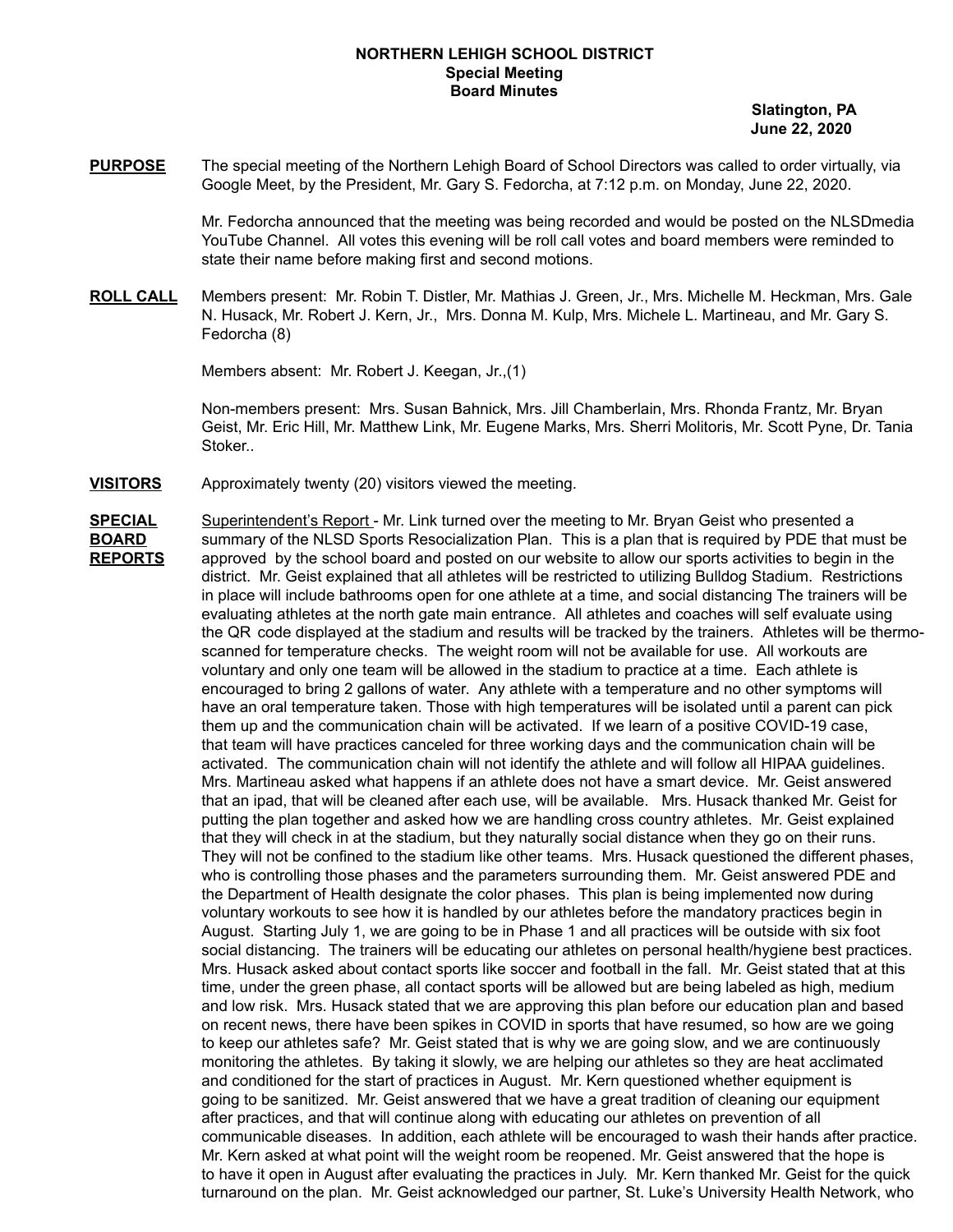### **NORTHERN LEHIGH SCHOOL DISTRICT Special Meeting Board Minutes**

**Slatington, PA June 22, 2020**

**PURPOSE** The special meeting of the Northern Lehigh Board of School Directors was called to order virtually, via Google Meet, by the President, Mr. Gary S. Fedorcha, at 7:12 p.m. on Monday, June 22, 2020.

> Mr. Fedorcha announced that the meeting was being recorded and would be posted on the NLSDmedia YouTube Channel. All votes this evening will be roll call votes and board members were reminded to state their name before making first and second motions.

**ROLL CALL** Members present: Mr. Robin T. Distler, Mr. Mathias J. Green, Jr., Mrs. Michelle M. Heckman, Mrs. Gale N. Husack, Mr. Robert J. Kern, Jr., Mrs. Donna M. Kulp, Mrs. Michele L. Martineau, and Mr. Gary S. Fedorcha (8)

Members absent: Mr. Robert J. Keegan, Jr.,(1)

Non-members present: Mrs. Susan Bahnick, Mrs. Jill Chamberlain, Mrs. Rhonda Frantz, Mr. Bryan Geist, Mr. Eric Hill, Mr. Matthew Link, Mr. Eugene Marks, Mrs. Sherri Molitoris, Mr. Scott Pyne, Dr. Tania Stoker..

**VISITORS** Approximately twenty (20) visitors viewed the meeting.

**SPECIAL** Superintendent's Report - Mr. Link turned over the meeting to Mr. Bryan Geist who presented a **BOARD** summary of the NLSD Sports Resocialization Plan. This is a plan that is required by PDE that must be **REPORTS** approved by the school board and posted on our website to allow our sports activities to begin in the district. Mr. Geist explained that all athletes will be restricted to utilizing Bulldog Stadium. Restrictions in place will include bathrooms open for one athlete at a time, and social distancing The trainers will be evaluating athletes at the north gate main entrance. All athletes and coaches will self evaluate using the QR code displayed at the stadium and results will be tracked by the trainers. Athletes will be thermoscanned for temperature checks. The weight room will not be available for use. All workouts are voluntary and only one team will be allowed in the stadium to practice at a time. Each athlete is encouraged to bring 2 gallons of water. Any athlete with a temperature and no other symptoms will have an oral temperature taken. Those with high temperatures will be isolated until a parent can pick them up and the communication chain will be activated. If we learn of a positive COVID-19 case, that team will have practices canceled for three working days and the communication chain will be activated. The communication chain will not identify the athlete and will follow all HIPAA guidelines. Mrs. Martineau asked what happens if an athlete does not have a smart device. Mr. Geist answered that an ipad, that will be cleaned after each use, will be available. Mrs. Husack thanked Mr. Geist for putting the plan together and asked how we are handling cross country athletes. Mr. Geist explained that they will check in at the stadium, but they naturally social distance when they go on their runs. They will not be confined to the stadium like other teams. Mrs. Husack questioned the different phases, who is controlling those phases and the parameters surrounding them. Mr. Geist answered PDE and the Department of Health designate the color phases. This plan is being implemented now during voluntary workouts to see how it is handled by our athletes before the mandatory practices begin in August. Starting July 1, we are going to be in Phase 1 and all practices will be outside with six foot social distancing. The trainers will be educating our athletes on personal health/hygiene best practices. Mrs. Husack asked about contact sports like soccer and football in the fall. Mr. Geist stated that at this time, under the green phase, all contact sports will be allowed but are being labeled as high, medium and low risk. Mrs. Husack stated that we are approving this plan before our education plan and based on recent news, there have been spikes in COVID in sports that have resumed, so how are we going to keep our athletes safe? Mr. Geist stated that is why we are going slow, and we are continuously monitoring the athletes. By taking it slowly, we are helping our athletes so they are heat acclimated and conditioned for the start of practices in August. Mr. Kern questioned whether equipment is going to be sanitized. Mr. Geist answered that we have a great tradition of cleaning our equipment after practices, and that will continue along with educating our athletes on prevention of all communicable diseases. In addition, each athlete will be encouraged to wash their hands after practice. Mr. Kern asked at what point will the weight room be reopened. Mr. Geist answered that the hope is to have it open in August after evaluating the practices in July. Mr. Kern thanked Mr. Geist for the quick turnaround on the plan. Mr. Geist acknowledged our partner, St. Luke's University Health Network, who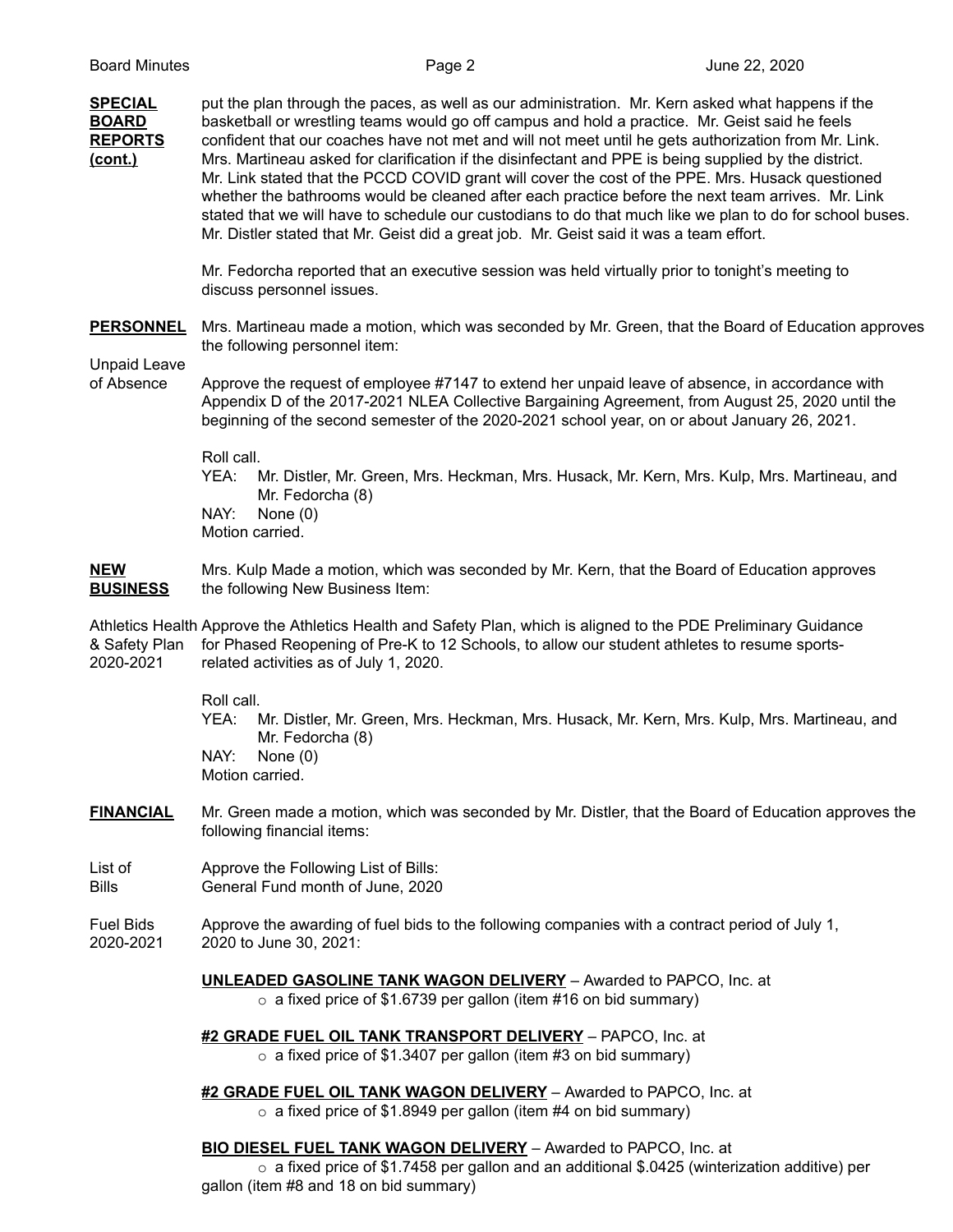| <b>SPECIAL</b><br><b>BOARD</b><br><b>REPORTS</b><br>(cont.) | put the plan through the paces, as well as our administration. Mr. Kern asked what happens if the<br>basketball or wrestling teams would go off campus and hold a practice. Mr. Geist said he feels<br>confident that our coaches have not met and will not meet until he gets authorization from Mr. Link.<br>Mrs. Martineau asked for clarification if the disinfectant and PPE is being supplied by the district.<br>Mr. Link stated that the PCCD COVID grant will cover the cost of the PPE. Mrs. Husack questioned<br>whether the bathrooms would be cleaned after each practice before the next team arrives. Mr. Link<br>stated that we will have to schedule our custodians to do that much like we plan to do for school buses.<br>Mr. Distler stated that Mr. Geist did a great job. Mr. Geist said it was a team effort. |
|-------------------------------------------------------------|--------------------------------------------------------------------------------------------------------------------------------------------------------------------------------------------------------------------------------------------------------------------------------------------------------------------------------------------------------------------------------------------------------------------------------------------------------------------------------------------------------------------------------------------------------------------------------------------------------------------------------------------------------------------------------------------------------------------------------------------------------------------------------------------------------------------------------------|
|                                                             | Mr. Fedorcha reported that an executive session was held virtually prior to tonight's meeting to<br>discuss personnel issues.                                                                                                                                                                                                                                                                                                                                                                                                                                                                                                                                                                                                                                                                                                        |
| <b>PERSONNEL</b><br><b>Unpaid Leave</b>                     | Mrs. Martineau made a motion, which was seconded by Mr. Green, that the Board of Education approves<br>the following personnel item:                                                                                                                                                                                                                                                                                                                                                                                                                                                                                                                                                                                                                                                                                                 |
| of Absence                                                  | Approve the request of employee #7147 to extend her unpaid leave of absence, in accordance with<br>Appendix D of the 2017-2021 NLEA Collective Bargaining Agreement, from August 25, 2020 until the<br>beginning of the second semester of the 2020-2021 school year, on or about January 26, 2021.                                                                                                                                                                                                                                                                                                                                                                                                                                                                                                                                  |
|                                                             | Roll call.<br>YEA:<br>Mr. Distler, Mr. Green, Mrs. Heckman, Mrs. Husack, Mr. Kern, Mrs. Kulp, Mrs. Martineau, and<br>Mr. Fedorcha (8)<br>NAY:<br>None $(0)$<br>Motion carried.                                                                                                                                                                                                                                                                                                                                                                                                                                                                                                                                                                                                                                                       |
| <b>NEW</b><br><b>BUSINESS</b>                               | Mrs. Kulp Made a motion, which was seconded by Mr. Kern, that the Board of Education approves<br>the following New Business Item:                                                                                                                                                                                                                                                                                                                                                                                                                                                                                                                                                                                                                                                                                                    |
| & Safety Plan<br>2020-2021                                  | Athletics Health Approve the Athletics Health and Safety Plan, which is aligned to the PDE Preliminary Guidance<br>for Phased Reopening of Pre-K to 12 Schools, to allow our student athletes to resume sports-<br>related activities as of July 1, 2020.                                                                                                                                                                                                                                                                                                                                                                                                                                                                                                                                                                            |
|                                                             | Roll call.<br>YEA:<br>Mr. Distler, Mr. Green, Mrs. Heckman, Mrs. Husack, Mr. Kern, Mrs. Kulp, Mrs. Martineau, and<br>Mr. Fedorcha (8)<br>NAY:<br>None $(0)$<br>Motion carried.                                                                                                                                                                                                                                                                                                                                                                                                                                                                                                                                                                                                                                                       |
| <b>FINANCIAL</b>                                            | Mr. Green made a motion, which was seconded by Mr. Distler, that the Board of Education approves the<br>following financial items:                                                                                                                                                                                                                                                                                                                                                                                                                                                                                                                                                                                                                                                                                                   |
| List of<br><b>Bills</b>                                     | Approve the Following List of Bills:<br>General Fund month of June, 2020                                                                                                                                                                                                                                                                                                                                                                                                                                                                                                                                                                                                                                                                                                                                                             |
| <b>Fuel Bids</b><br>2020-2021                               | Approve the awarding of fuel bids to the following companies with a contract period of July 1,<br>2020 to June 30, 2021:                                                                                                                                                                                                                                                                                                                                                                                                                                                                                                                                                                                                                                                                                                             |

**UNLEADED GASOLINE TANK WAGON DELIVERY** – Awarded to PAPCO, Inc. at

o a fixed price of \$1.6739 per gallon (item #16 on bid summary)

**#2 GRADE FUEL OIL TANK TRANSPORT DELIVERY** – PAPCO, Inc. at

 $\circ$  a fixed price of \$1.3407 per gallon (item #3 on bid summary)

**#2 GRADE FUEL OIL TANK WAGON DELIVERY** – Awarded to PAPCO, Inc. at  $\circ$  a fixed price of \$1.8949 per gallon (item #4 on bid summary)

### **BIO DIESEL FUEL TANK WAGON DELIVERY** – Awarded to PAPCO, Inc. at

o a fixed price of \$1.7458 per gallon and an additional \$.0425 (winterization additive) per gallon (item #8 and 18 on bid summary)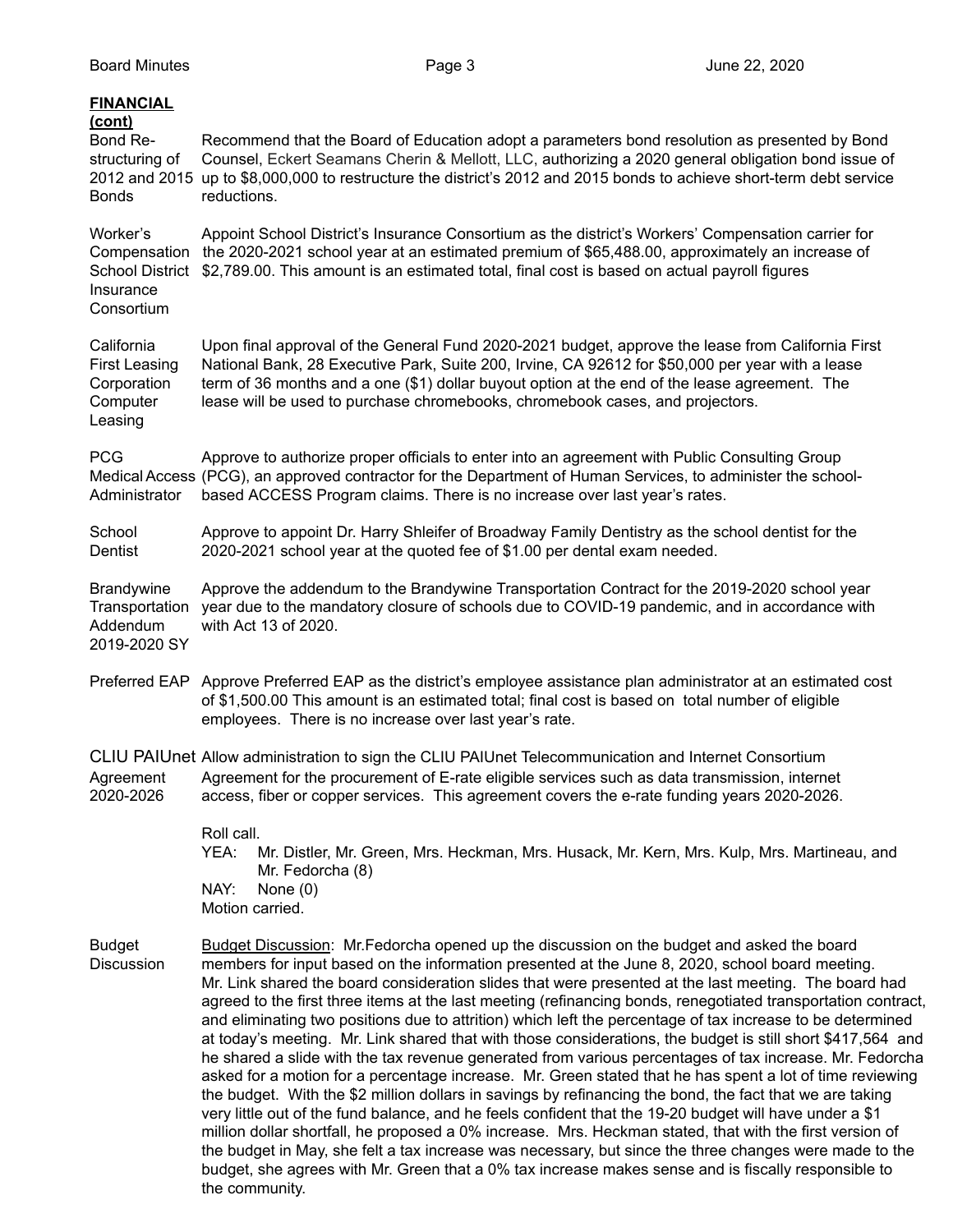| <b>FINANCIAL</b><br>(cont)<br>Bond Re-<br>structuring of<br><b>Bonds</b>      | Recommend that the Board of Education adopt a parameters bond resolution as presented by Bond<br>Counsel, Eckert Seamans Cherin & Mellott, LLC, authorizing a 2020 general obligation bond issue of<br>2012 and 2015 up to \$8,000,000 to restructure the district's 2012 and 2015 bonds to achieve short-term debt service<br>reductions.                                                                                                                                                                                                                                                                                                                                                                                                                                                                                                                                                                                                                                                                                                                                                                                                                                                                                                                                                                               |
|-------------------------------------------------------------------------------|--------------------------------------------------------------------------------------------------------------------------------------------------------------------------------------------------------------------------------------------------------------------------------------------------------------------------------------------------------------------------------------------------------------------------------------------------------------------------------------------------------------------------------------------------------------------------------------------------------------------------------------------------------------------------------------------------------------------------------------------------------------------------------------------------------------------------------------------------------------------------------------------------------------------------------------------------------------------------------------------------------------------------------------------------------------------------------------------------------------------------------------------------------------------------------------------------------------------------------------------------------------------------------------------------------------------------|
| Worker's<br>Compensation<br><b>School District</b><br>Insurance<br>Consortium | Appoint School District's Insurance Consortium as the district's Workers' Compensation carrier for<br>the 2020-2021 school year at an estimated premium of \$65,488.00, approximately an increase of<br>\$2,789.00. This amount is an estimated total, final cost is based on actual payroll figures                                                                                                                                                                                                                                                                                                                                                                                                                                                                                                                                                                                                                                                                                                                                                                                                                                                                                                                                                                                                                     |
| California<br><b>First Leasing</b><br>Corporation<br>Computer<br>Leasing      | Upon final approval of the General Fund 2020-2021 budget, approve the lease from California First<br>National Bank, 28 Executive Park, Suite 200, Irvine, CA 92612 for \$50,000 per year with a lease<br>term of 36 months and a one (\$1) dollar buyout option at the end of the lease agreement. The<br>lease will be used to purchase chromebooks, chromebook cases, and projectors.                                                                                                                                                                                                                                                                                                                                                                                                                                                                                                                                                                                                                                                                                                                                                                                                                                                                                                                                  |
| <b>PCG</b><br>Administrator                                                   | Approve to authorize proper officials to enter into an agreement with Public Consulting Group<br>Medical Access (PCG), an approved contractor for the Department of Human Services, to administer the school-<br>based ACCESS Program claims. There is no increase over last year's rates.                                                                                                                                                                                                                                                                                                                                                                                                                                                                                                                                                                                                                                                                                                                                                                                                                                                                                                                                                                                                                               |
| School<br>Dentist                                                             | Approve to appoint Dr. Harry Shleifer of Broadway Family Dentistry as the school dentist for the<br>2020-2021 school year at the quoted fee of \$1.00 per dental exam needed.                                                                                                                                                                                                                                                                                                                                                                                                                                                                                                                                                                                                                                                                                                                                                                                                                                                                                                                                                                                                                                                                                                                                            |
| <b>Brandywine</b><br>Transportation<br>Addendum<br>2019-2020 SY               | Approve the addendum to the Brandywine Transportation Contract for the 2019-2020 school year<br>year due to the mandatory closure of schools due to COVID-19 pandemic, and in accordance with<br>with Act 13 of 2020.                                                                                                                                                                                                                                                                                                                                                                                                                                                                                                                                                                                                                                                                                                                                                                                                                                                                                                                                                                                                                                                                                                    |
| Preferred EAP                                                                 | Approve Preferred EAP as the district's employee assistance plan administrator at an estimated cost<br>of \$1,500.00 This amount is an estimated total; final cost is based on total number of eligible<br>employees. There is no increase over last year's rate.                                                                                                                                                                                                                                                                                                                                                                                                                                                                                                                                                                                                                                                                                                                                                                                                                                                                                                                                                                                                                                                        |
| Agreement<br>2020-2026                                                        | CLIU PAIUnet Allow administration to sign the CLIU PAIUnet Telecommunication and Internet Consortium<br>Agreement for the procurement of E-rate eligible services such as data transmission, internet<br>access, fiber or copper services. This agreement covers the e-rate funding years 2020-2026.                                                                                                                                                                                                                                                                                                                                                                                                                                                                                                                                                                                                                                                                                                                                                                                                                                                                                                                                                                                                                     |
|                                                                               | Roll call.<br>YEA:<br>Mr. Distler, Mr. Green, Mrs. Heckman, Mrs. Husack, Mr. Kern, Mrs. Kulp, Mrs. Martineau, and<br>Mr. Fedorcha (8)<br>NAY:<br>None $(0)$<br>Motion carried.                                                                                                                                                                                                                                                                                                                                                                                                                                                                                                                                                                                                                                                                                                                                                                                                                                                                                                                                                                                                                                                                                                                                           |
| <b>Budget</b><br><b>Discussion</b>                                            | Budget Discussion: Mr. Fedorcha opened up the discussion on the budget and asked the board<br>members for input based on the information presented at the June 8, 2020, school board meeting.<br>Mr. Link shared the board consideration slides that were presented at the last meeting. The board had<br>agreed to the first three items at the last meeting (refinancing bonds, renegotiated transportation contract,<br>and eliminating two positions due to attrition) which left the percentage of tax increase to be determined<br>at today's meeting. Mr. Link shared that with those considerations, the budget is still short \$417,564 and<br>he shared a slide with the tax revenue generated from various percentages of tax increase. Mr. Fedorcha<br>asked for a motion for a percentage increase. Mr. Green stated that he has spent a lot of time reviewing<br>the budget. With the \$2 million dollars in savings by refinancing the bond, the fact that we are taking<br>very little out of the fund balance, and he feels confident that the 19-20 budget will have under a \$1<br>million dollar shortfall, he proposed a 0% increase. Mrs. Heckman stated, that with the first version of<br>the budget in May, she felt a tax increase was necessary, but since the three changes were made to the |

budget, she agrees with Mr. Green that a 0% tax increase makes sense and is fiscally responsible to

the community.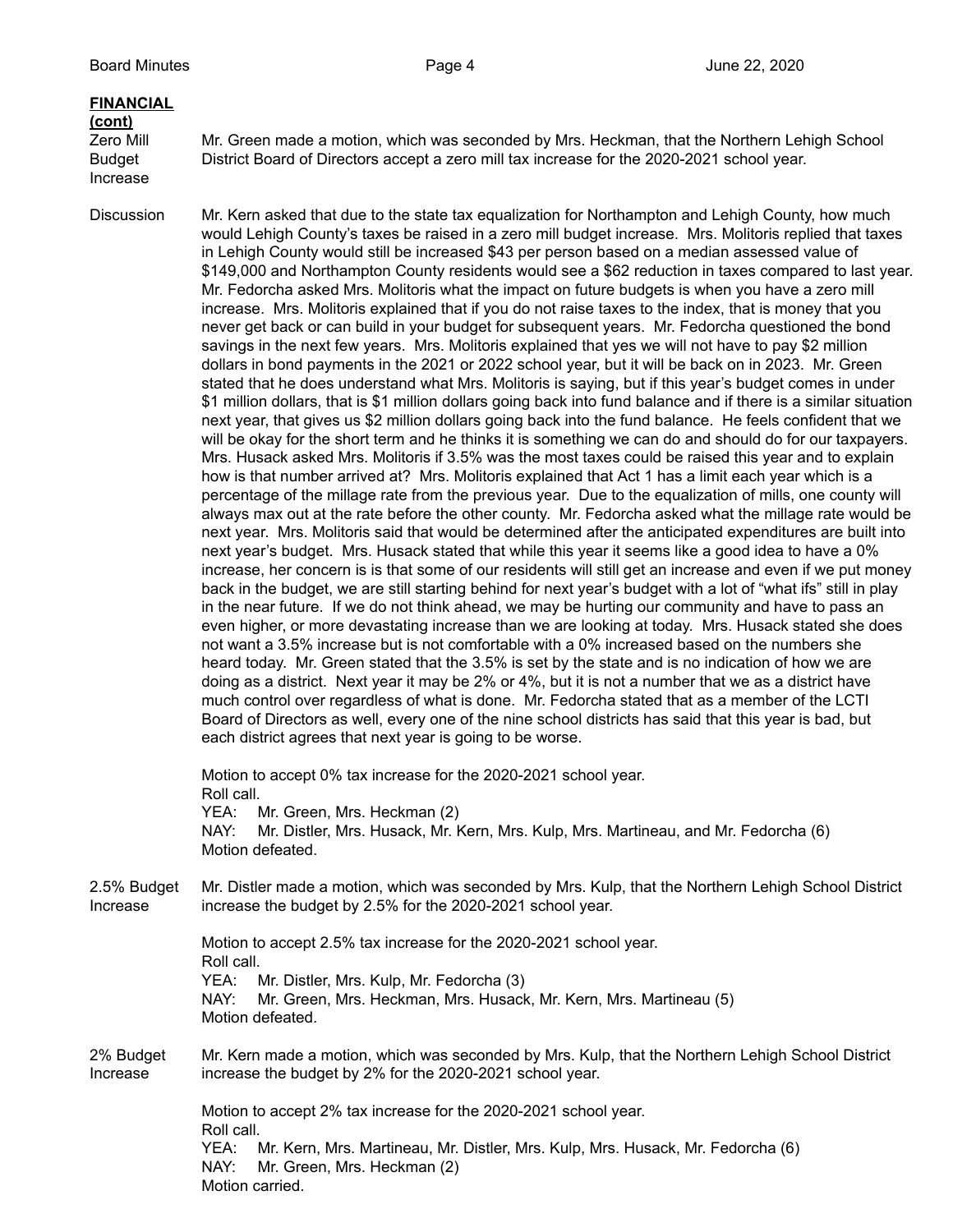# **FINANCIAL (cont)**

Increase

Zero Mill Mr. Green made a motion, which was seconded by Mrs. Heckman, that the Northern Lehigh School Budget District Board of Directors accept a zero mill tax increase for the 2020-2021 school year.

Discussion Mr. Kern asked that due to the state tax equalization for Northampton and Lehigh County, how much would Lehigh County's taxes be raised in a zero mill budget increase. Mrs. Molitoris replied that taxes in Lehigh County would still be increased \$43 per person based on a median assessed value of \$149,000 and Northampton County residents would see a \$62 reduction in taxes compared to last year. Mr. Fedorcha asked Mrs. Molitoris what the impact on future budgets is when you have a zero mill increase. Mrs. Molitoris explained that if you do not raise taxes to the index, that is money that you never get back or can build in your budget for subsequent years. Mr. Fedorcha questioned the bond savings in the next few years. Mrs. Molitoris explained that yes we will not have to pay \$2 million dollars in bond payments in the 2021 or 2022 school year, but it will be back on in 2023. Mr. Green stated that he does understand what Mrs. Molitoris is saying, but if this year's budget comes in under \$1 million dollars, that is \$1 million dollars going back into fund balance and if there is a similar situation next year, that gives us \$2 million dollars going back into the fund balance. He feels confident that we will be okay for the short term and he thinks it is something we can do and should do for our taxpayers. Mrs. Husack asked Mrs. Molitoris if 3.5% was the most taxes could be raised this year and to explain how is that number arrived at? Mrs. Molitoris explained that Act 1 has a limit each year which is a percentage of the millage rate from the previous year. Due to the equalization of mills, one county will always max out at the rate before the other county. Mr. Fedorcha asked what the millage rate would be next year. Mrs. Molitoris said that would be determined after the anticipated expenditures are built into next year's budget. Mrs. Husack stated that while this year it seems like a good idea to have a 0% increase, her concern is is that some of our residents will still get an increase and even if we put money back in the budget, we are still starting behind for next year's budget with a lot of "what ifs" still in play in the near future. If we do not think ahead, we may be hurting our community and have to pass an even higher, or more devastating increase than we are looking at today. Mrs. Husack stated she does not want a 3.5% increase but is not comfortable with a 0% increased based on the numbers she heard today. Mr. Green stated that the 3.5% is set by the state and is no indication of how we are doing as a district. Next year it may be 2% or 4%, but it is not a number that we as a district have much control over regardless of what is done. Mr. Fedorcha stated that as a member of the LCTI Board of Directors as well, every one of the nine school districts has said that this year is bad, but each district agrees that next year is going to be worse.

> Motion to accept 0% tax increase for the 2020-2021 school year. Roll call. YEA: Mr. Green, Mrs. Heckman (2) NAY: Mr. Distler, Mrs. Husack, Mr. Kern, Mrs. Kulp, Mrs. Martineau, and Mr. Fedorcha (6) Motion defeated.

2.5% Budget Mr. Distler made a motion, which was seconded by Mrs. Kulp, that the Northern Lehigh School District Increase increase the budget by 2.5% for the 2020-2021 school year.

> Motion to accept 2.5% tax increase for the 2020-2021 school year. Roll call. YEA: Mr. Distler, Mrs. Kulp, Mr. Fedorcha (3) NAY: Mr. Green, Mrs. Heckman, Mrs. Husack, Mr. Kern, Mrs. Martineau (5) Motion defeated.

2% Budget Mr. Kern made a motion, which was seconded by Mrs. Kulp, that the Northern Lehigh School District Increase increase the budget by 2% for the 2020-2021 school year.

> Motion to accept 2% tax increase for the 2020-2021 school year. Roll call. YEA: Mr. Kern, Mrs. Martineau, Mr. Distler, Mrs. Kulp, Mrs. Husack, Mr. Fedorcha (6) NAY: Mr. Green, Mrs. Heckman (2) Motion carried.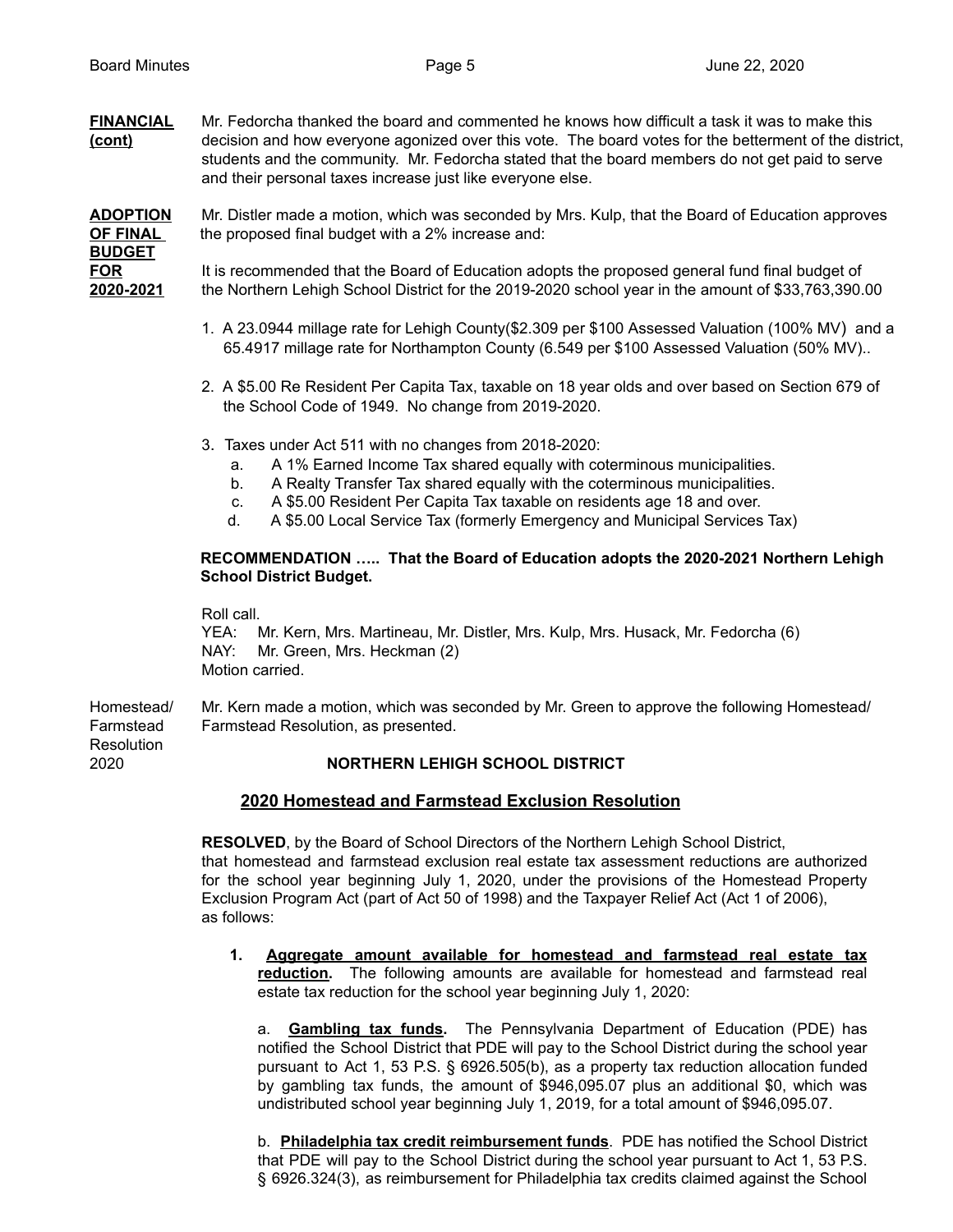**FINANCIAL** Mr. Fedorcha thanked the board and commented he knows how difficult a task it was to make this **(cont)** decision and how everyone agonized over this vote. The board votes for the betterment of the district, students and the community. Mr. Fedorcha stated that the board members do not get paid to serve and their personal taxes increase just like everyone else.

**ADOPTION** Mr. Distler made a motion, which was seconded by Mrs. Kulp, that the Board of Education approves **OF FINAL** the proposed final budget with a 2% increase and: **BUDGET FOR** It is recommended that the Board of Education adopts the proposed general fund final budget of **2020-2021** the Northern Lehigh School District for the 2019-2020 school year in the amount of \$33,763,390.00

- 1. A 23.0944 millage rate for Lehigh County(\$2.309 per \$100 Assessed Valuation (100% MV) and a 65.4917 millage rate for Northampton County (6.549 per \$100 Assessed Valuation (50% MV)..
- 2. A \$5.00 Re Resident Per Capita Tax, taxable on 18 year olds and over based on Section 679 of the School Code of 1949. No change from 2019-2020.
- 3. Taxes under Act 511 with no changes from 2018-2020:
	- a. A 1% Earned Income Tax shared equally with coterminous municipalities.
	- b. A Realty Transfer Tax shared equally with the coterminous municipalities.
	- c. A \$5.00 Resident Per Capita Tax taxable on residents age 18 and over.
	- d. A \$5.00 Local Service Tax (formerly Emergency and Municipal Services Tax)

### **RECOMMENDATION ….. That the Board of Education adopts the 2020-2021 Northern Lehigh School District Budget.**

Roll call.

YEA: Mr. Kern, Mrs. Martineau, Mr. Distler, Mrs. Kulp, Mrs. Husack, Mr. Fedorcha (6) NAY: Mr. Green, Mrs. Heckman (2) Motion carried.

Homestead/ Mr. Kern made a motion, which was seconded by Mr. Green to approve the following Homestead/ Farmstead Farmstead Resolution, as presented. **Resolution** 

# 2020 **NORTHERN LEHIGH SCHOOL DISTRICT**

## **2020 Homestead and Farmstead Exclusion Resolution**

**RESOLVED**, by the Board of School Directors of the Northern Lehigh School District, that homestead and farmstead exclusion real estate tax assessment reductions are authorized for the school year beginning July 1, 2020, under the provisions of the Homestead Property Exclusion Program Act (part of Act 50 of 1998) and the Taxpayer Relief Act (Act 1 of 2006), as follows:

**1. Aggregate amount available for homestead and farmstead real estate tax reduction.** The following amounts are available for homestead and farmstead real estate tax reduction for the school year beginning July 1, 2020:

a. **Gambling tax funds.** The Pennsylvania Department of Education (PDE) has notified the School District that PDE will pay to the School District during the school year pursuant to Act 1, 53 P.S. § 6926.505(b), as a property tax reduction allocation funded by gambling tax funds, the amount of \$946,095.07 plus an additional \$0, which was undistributed school year beginning July 1, 2019, for a total amount of \$946,095.07.

b. **Philadelphia tax credit reimbursement funds**. PDE has notified the School District that PDE will pay to the School District during the school year pursuant to Act 1, 53 P.S. § 6926.324(3), as reimbursement for Philadelphia tax credits claimed against the School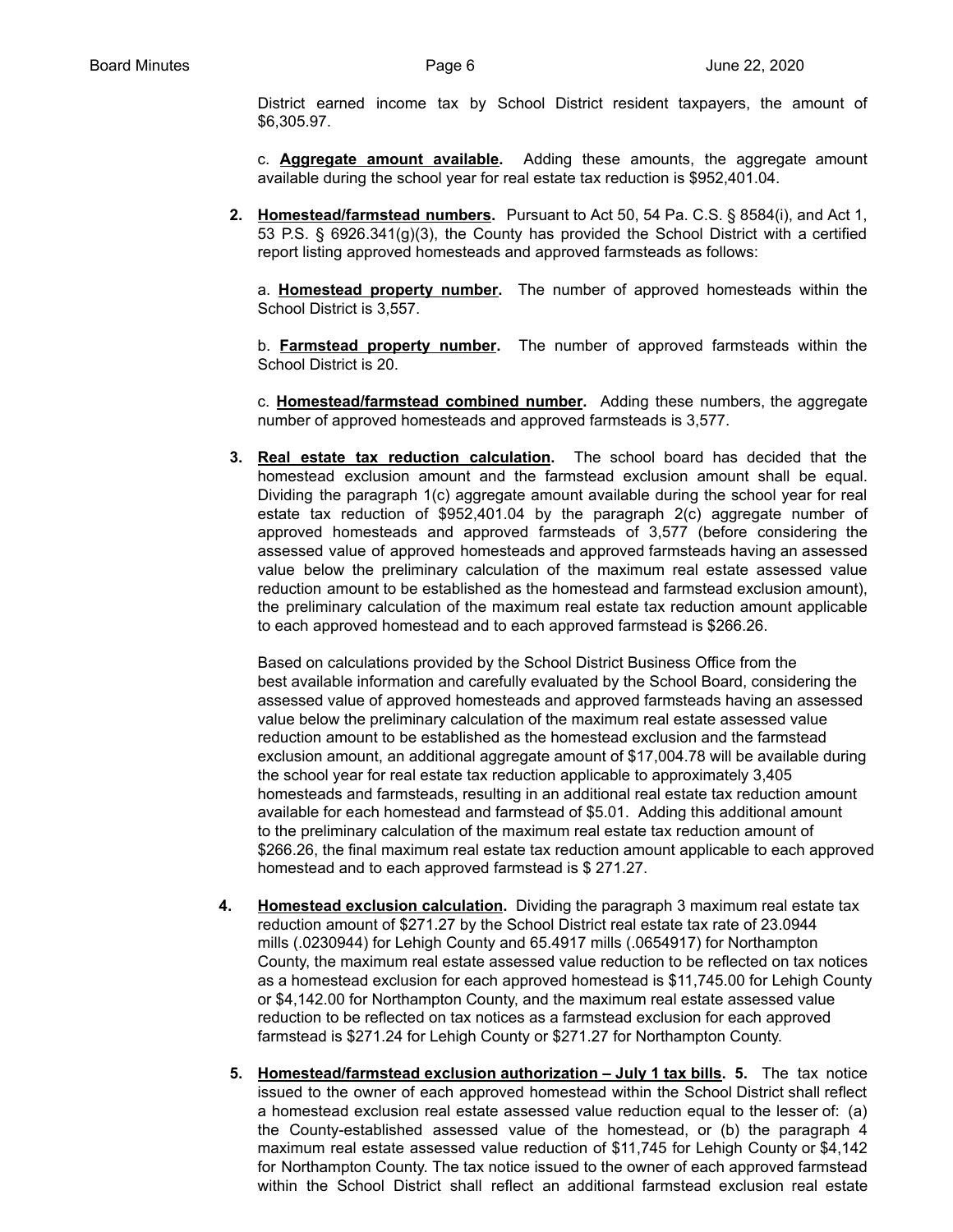District earned income tax by School District resident taxpayers, the amount of \$6,305.97.

c. **Aggregate amount available.** Adding these amounts, the aggregate amount available during the school year for real estate tax reduction is \$952,401.04.

**2. Homestead/farmstead numbers.** Pursuant to Act 50, 54 Pa. C.S. § 8584(i), and Act 1, 53 P.S. § 6926.341(g)(3), the County has provided the School District with a certified report listing approved homesteads and approved farmsteads as follows:

a. **Homestead property number.** The number of approved homesteads within the School District is 3,557.

b. **Farmstead property number.** The number of approved farmsteads within the School District is 20.

c. **Homestead/farmstead combined number.** Adding these numbers, the aggregate number of approved homesteads and approved farmsteads is 3,577.

**3. Real estate tax reduction calculation.** The school board has decided that the homestead exclusion amount and the farmstead exclusion amount shall be equal. Dividing the paragraph 1(c) aggregate amount available during the school year for real estate tax reduction of \$952,401.04 by the paragraph 2(c) aggregate number of approved homesteads and approved farmsteads of 3,577 (before considering the assessed value of approved homesteads and approved farmsteads having an assessed value below the preliminary calculation of the maximum real estate assessed value reduction amount to be established as the homestead and farmstead exclusion amount), the preliminary calculation of the maximum real estate tax reduction amount applicable to each approved homestead and to each approved farmstead is \$266.26.

Based on calculations provided by the School District Business Office from the best available information and carefully evaluated by the School Board, considering the assessed value of approved homesteads and approved farmsteads having an assessed value below the preliminary calculation of the maximum real estate assessed value reduction amount to be established as the homestead exclusion and the farmstead exclusion amount, an additional aggregate amount of \$17,004.78 will be available during the school year for real estate tax reduction applicable to approximately 3,405 homesteads and farmsteads, resulting in an additional real estate tax reduction amount available for each homestead and farmstead of \$5.01. Adding this additional amount to the preliminary calculation of the maximum real estate tax reduction amount of \$266.26, the final maximum real estate tax reduction amount applicable to each approved homestead and to each approved farmstead is \$ 271.27.

- **4. Homestead exclusion calculation.** Dividing the paragraph 3 maximum real estate tax reduction amount of \$271.27 by the School District real estate tax rate of 23.0944 mills (.0230944) for Lehigh County and 65.4917 mills (.0654917) for Northampton County, the maximum real estate assessed value reduction to be reflected on tax notices as a homestead exclusion for each approved homestead is \$11,745.00 for Lehigh County or \$4,142.00 for Northampton County, and the maximum real estate assessed value reduction to be reflected on tax notices as a farmstead exclusion for each approved farmstead is \$271.24 for Lehigh County or \$271.27 for Northampton County.
	- **5. Homestead/farmstead exclusion authorization – July 1 tax bills. 5.** The tax notice issued to the owner of each approved homestead within the School District shall reflect a homestead exclusion real estate assessed value reduction equal to the lesser of: (a) the County-established assessed value of the homestead, or (b) the paragraph 4 maximum real estate assessed value reduction of \$11,745 for Lehigh County or \$4,142 for Northampton County. The tax notice issued to the owner of each approved farmstead within the School District shall reflect an additional farmstead exclusion real estate